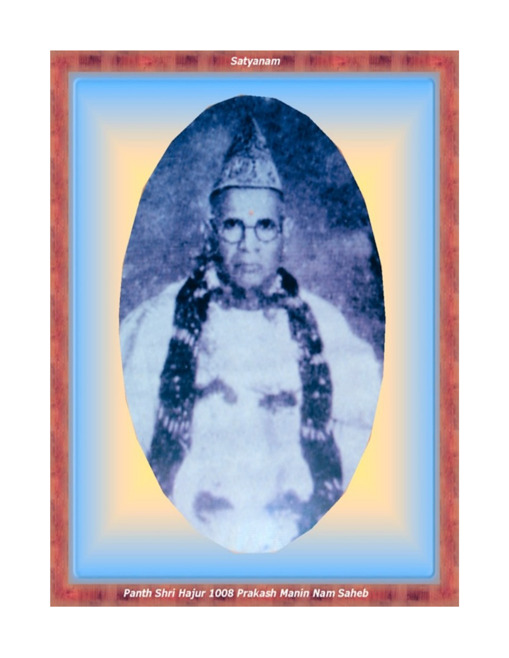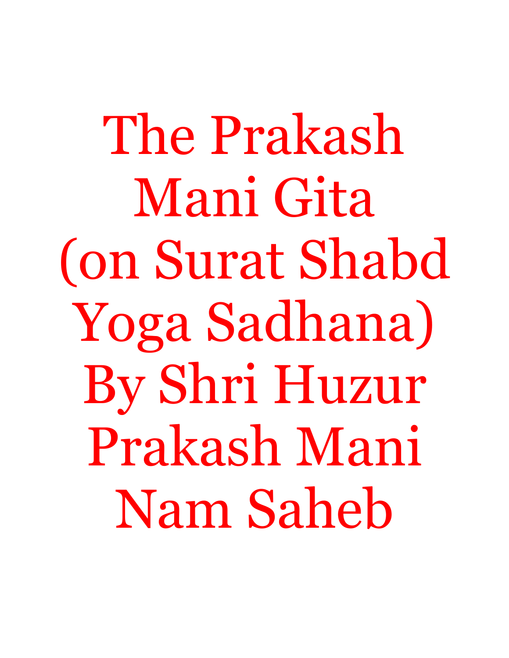The Prakash Mani Gita (on Surat Shabd Yoga Sadhana) By Shri Huzur Prakash Mani Nam Saheb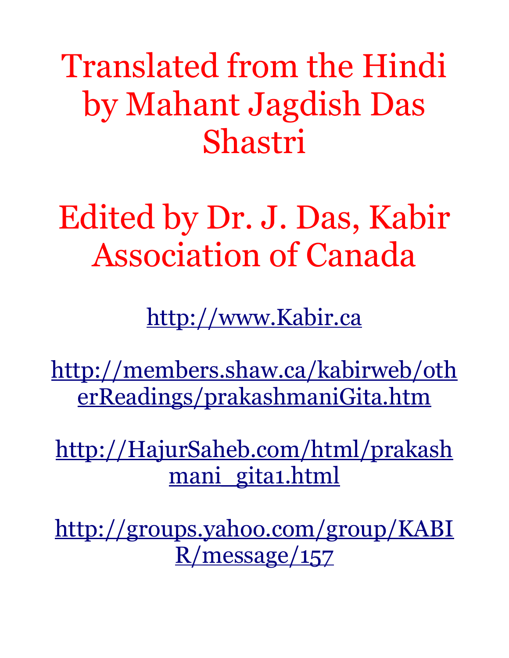Translated from the Hindi by Mahant Jagdish Das Shastri

Edited by Dr. J. Das, Kabir Association of Canada

[http://www.Kabir.ca](http://www.Kabir.ca/)

[http://members.shaw.ca/kabirweb/oth](http://members.shaw.ca/kabirweb/otherReadings/prakashmaniGita.htm) [erReadings/prakashmaniGita.htm](http://members.shaw.ca/kabirweb/otherReadings/prakashmaniGita.htm)

[http://HajurSaheb.com/html/prakash](http://HajurSaheb.com/html/prakashmani_gita1.html) mani gita1.html

[http://groups.yahoo.com/group/KABI](http://groups.yahoo.com/group/KABIR/message/157) [R/message/157](http://groups.yahoo.com/group/KABIR/message/157)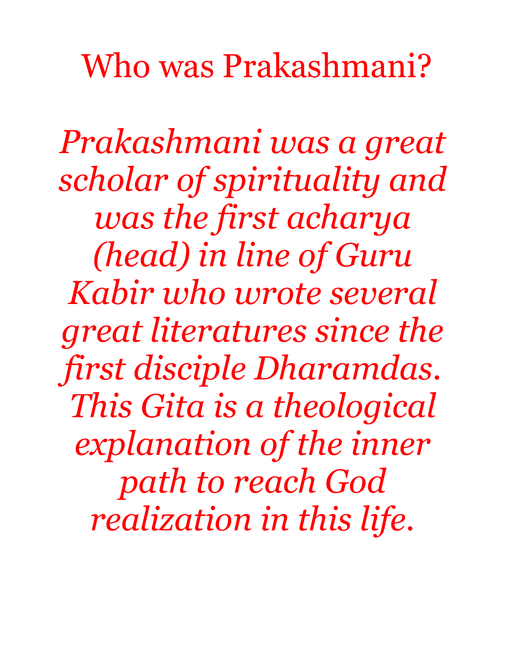Who was Prakashmani?

*Prakashmani was a great scholar of spirituality and was the first acharya (head) in line of Guru Kabir who wrote several great literatures since the first disciple Dharamdas. This Gita is a theological explanation of the inner path to reach God realization in this life.*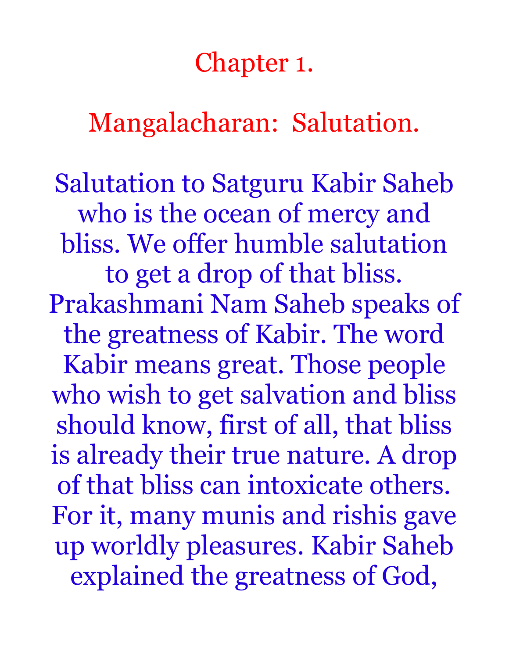#### Chapter 1.

Mangalacharan: Salutation.

Salutation to Satguru Kabir Saheb who is the ocean of mercy and bliss. We offer humble salutation to get a drop of that bliss. Prakashmani Nam Saheb speaks of the greatness of Kabir. The word Kabir means great. Those people who wish to get salvation and bliss should know, first of all, that bliss is already their true nature. A drop of that bliss can intoxicate others. For it, many munis and rishis gave up worldly pleasures. Kabir Saheb explained the greatness of God,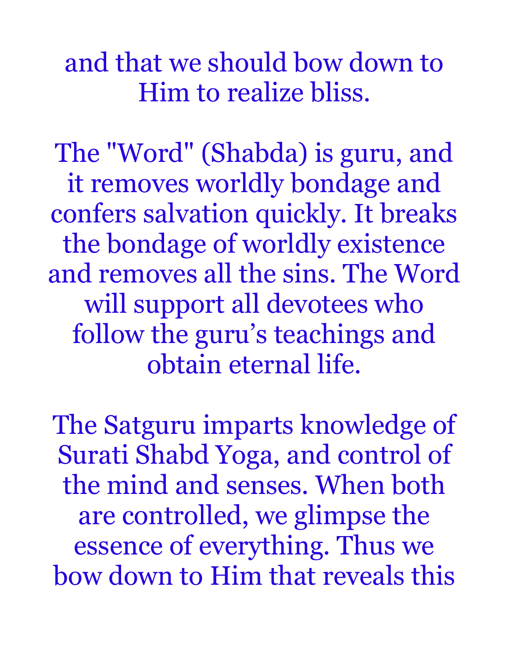## and that we should bow down to Him to realize bliss.

The "Word" (Shabda) is guru, and it removes worldly bondage and confers salvation quickly. It breaks the bondage of worldly existence and removes all the sins. The Word will support all devotees who follow the guru's teachings and obtain eternal life.

The Satguru imparts knowledge of Surati Shabd Yoga, and control of the mind and senses. When both are controlled, we glimpse the essence of everything. Thus we bow down to Him that reveals this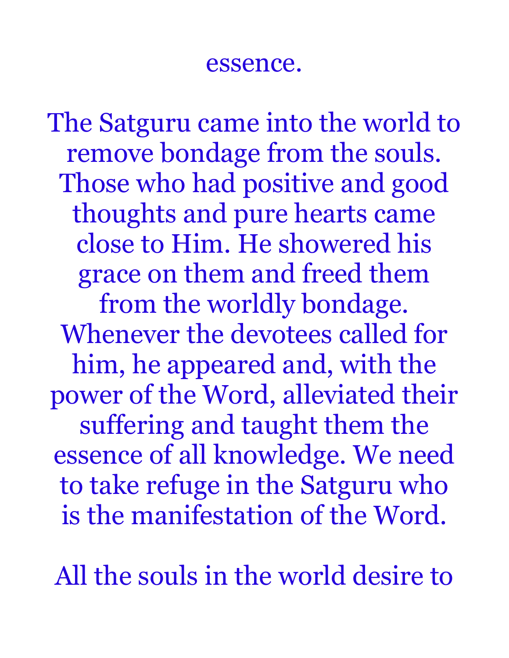#### essence.

The Satguru came into the world to remove bondage from the souls. Those who had positive and good thoughts and pure hearts came close to Him. He showered his grace on them and freed them from the worldly bondage. Whenever the devotees called for him, he appeared and, with the power of the Word, alleviated their suffering and taught them the essence of all knowledge. We need to take refuge in the Satguru who is the manifestation of the Word.

All the souls in the world desire to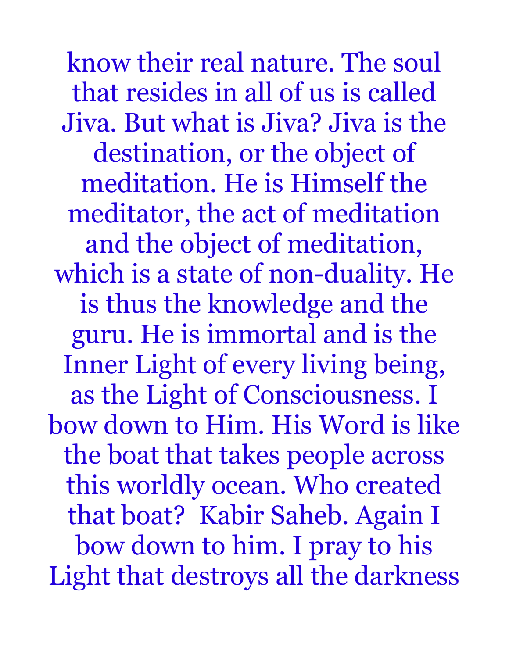know their real nature. The soul that resides in all of us is called Jiva. But what is Jiva? Jiva is the destination, or the object of meditation. He is Himself the meditator, the act of meditation and the object of meditation, which is a state of non-duality. He is thus the knowledge and the guru. He is immortal and is the Inner Light of every living being, as the Light of Consciousness. I bow down to Him. His Word is like the boat that takes people across this worldly ocean. Who created that boat? Kabir Saheb. Again I bow down to him. I pray to his Light that destroys all the darkness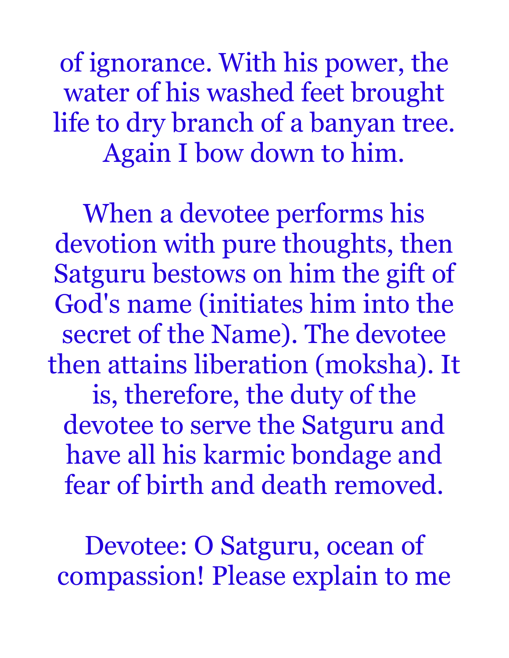of ignorance. With his power, the water of his washed feet brought life to dry branch of a banyan tree. Again I bow down to him.

When a devotee performs his devotion with pure thoughts, then Satguru bestows on him the gift of God's name (initiates him into the secret of the Name). The devotee then attains liberation (moksha). It is, therefore, the duty of the devotee to serve the Satguru and have all his karmic bondage and fear of birth and death removed.

Devotee: O Satguru, ocean of compassion! Please explain to me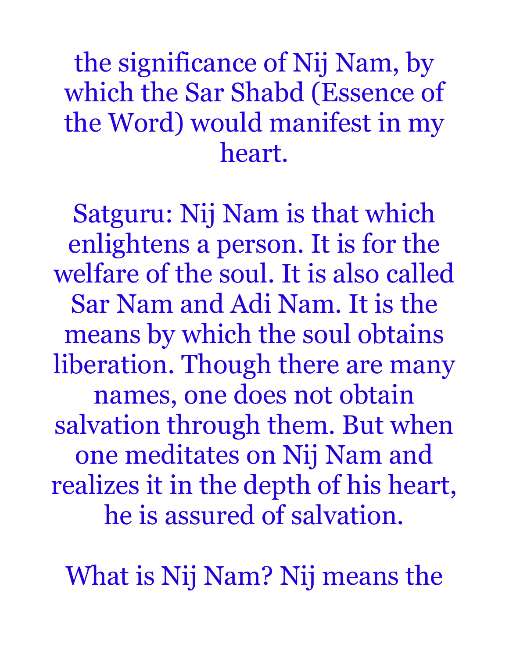# the significance of Nij Nam, by which the Sar Shabd (Essence of the Word) would manifest in my heart.

Satguru: Nij Nam is that which enlightens a person. It is for the welfare of the soul. It is also called Sar Nam and Adi Nam. It is the means by which the soul obtains liberation. Though there are many names, one does not obtain salvation through them. But when one meditates on Nij Nam and realizes it in the depth of his heart, he is assured of salvation.

What is Nij Nam? Nij means the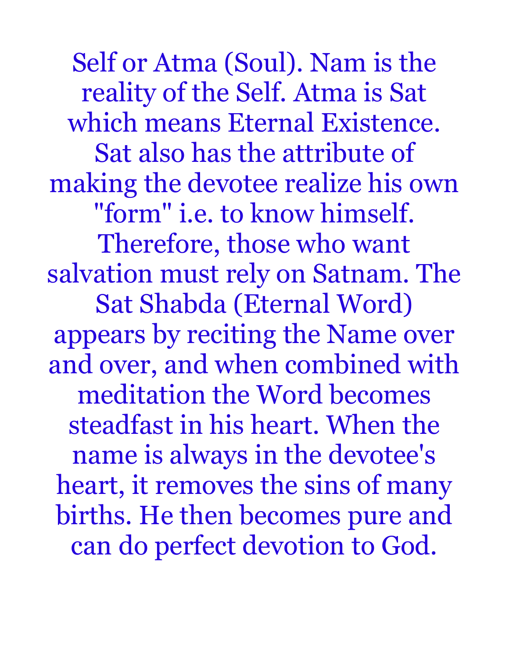Self or Atma (Soul). Nam is the reality of the Self. Atma is Sat which means Eternal Existence. Sat also has the attribute of making the devotee realize his own "form" i.e. to know himself. Therefore, those who want salvation must rely on Satnam. The Sat Shabda (Eternal Word) appears by reciting the Name over and over, and when combined with meditation the Word becomes steadfast in his heart. When the name is always in the devotee's heart, it removes the sins of many births. He then becomes pure and can do perfect devotion to God.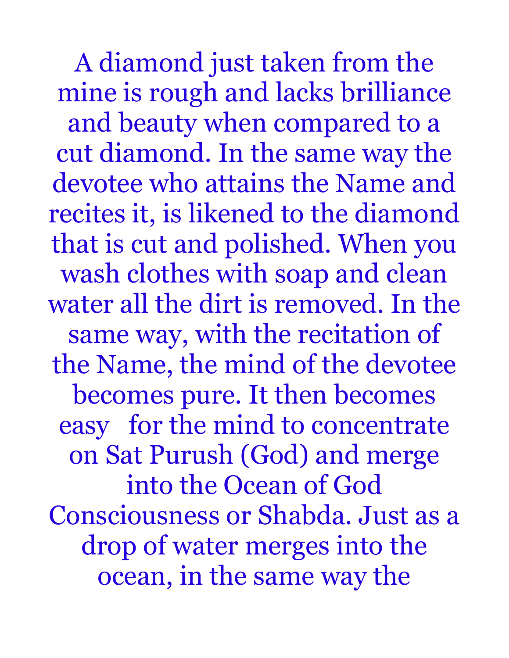A diamond just taken from the mine is rough and lacks brilliance and beauty when compared to a cut diamond. In the same way the devotee who attains the Name and recites it, is likened to the diamond that is cut and polished. When you wash clothes with soap and clean water all the dirt is removed. In the same way, with the recitation of the Name, the mind of the devotee becomes pure. It then becomes easy for the mind to concentrate on Sat Purush (God) and merge into the Ocean of God Consciousness or Shabda. Just as a drop of water merges into the ocean, in the same way the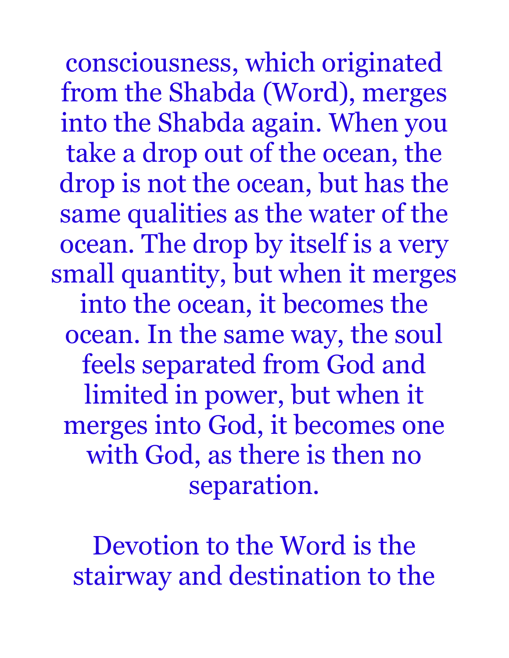consciousness, which originated from the Shabda (Word), merges into the Shabda again. When you take a drop out of the ocean, the drop is not the ocean, but has the same qualities as the water of the ocean. The drop by itself is a very small quantity, but when it merges into the ocean, it becomes the ocean. In the same way, the soul feels separated from God and limited in power, but when it merges into God, it becomes one with God, as there is then no separation.

Devotion to the Word is the stairway and destination to the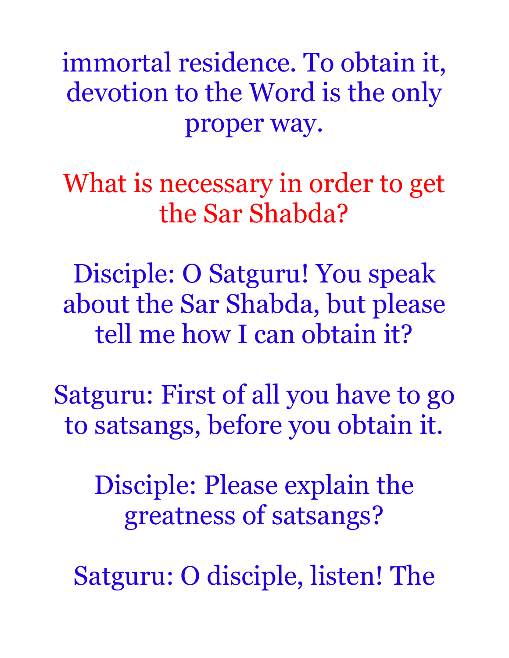immortal residence. To obtain it, devotion to the Word is the only proper way.

What is necessary in order to get the Sar Shabda?

Disciple: O Satguru! You speak about the Sar Shabda, but please tell me how I can obtain it?

Satguru: First of all you have to go to satsangs, before you obtain it.

Disciple: Please explain the greatness of satsangs?

Satguru: O disciple, listen! The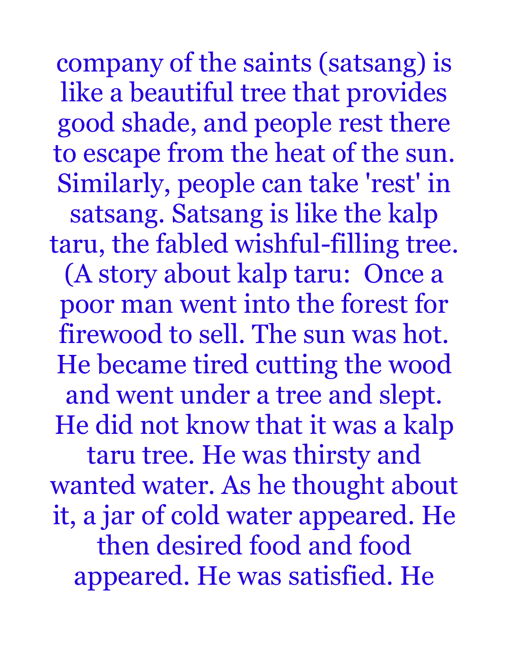company of the saints (satsang) is like a beautiful tree that provides good shade, and people rest there to escape from the heat of the sun. Similarly, people can take 'rest' in satsang. Satsang is like the kalp taru, the fabled wishful-filling tree. (A story about kalp taru: Once a poor man went into the forest for firewood to sell. The sun was hot. He became tired cutting the wood and went under a tree and slept. He did not know that it was a kalp taru tree. He was thirsty and wanted water. As he thought about it, a jar of cold water appeared. He then desired food and food appeared. He was satisfied. He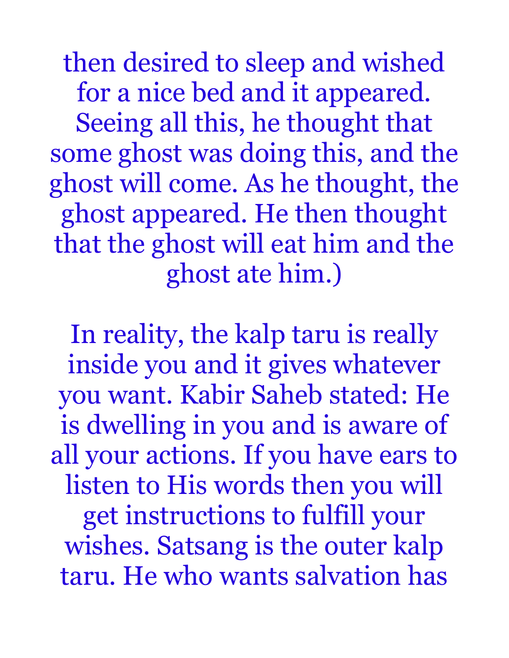then desired to sleep and wished for a nice bed and it appeared. Seeing all this, he thought that some ghost was doing this, and the ghost will come. As he thought, the ghost appeared. He then thought that the ghost will eat him and the ghost ate him.)

In reality, the kalp taru is really inside you and it gives whatever you want. Kabir Saheb stated: He is dwelling in you and is aware of all your actions. If you have ears to listen to His words then you will get instructions to fulfill your wishes. Satsang is the outer kalp taru. He who wants salvation has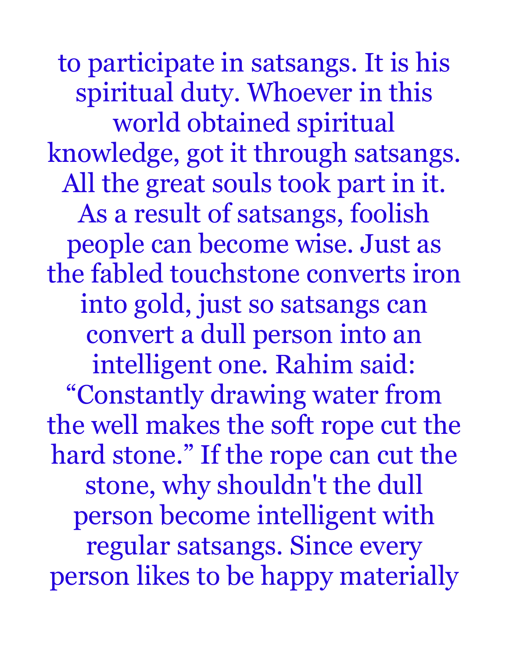to participate in satsangs. It is his spiritual duty. Whoever in this world obtained spiritual knowledge, got it through satsangs. All the great souls took part in it. As a result of satsangs, foolish people can become wise. Just as the fabled touchstone converts iron into gold, just so satsangs can convert a dull person into an intelligent one. Rahim said: "Constantly drawing water from the well makes the soft rope cut the hard stone." If the rope can cut the stone, why shouldn't the dull person become intelligent with regular satsangs. Since every person likes to be happy materially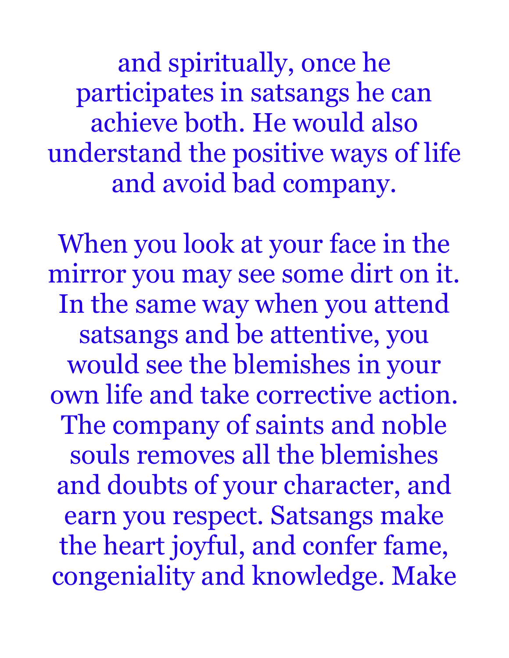and spiritually, once he participates in satsangs he can achieve both. He would also understand the positive ways of life and avoid bad company.

When you look at your face in the mirror you may see some dirt on it. In the same way when you attend satsangs and be attentive, you would see the blemishes in your own life and take corrective action. The company of saints and noble souls removes all the blemishes and doubts of your character, and earn you respect. Satsangs make the heart joyful, and confer fame, congeniality and knowledge. Make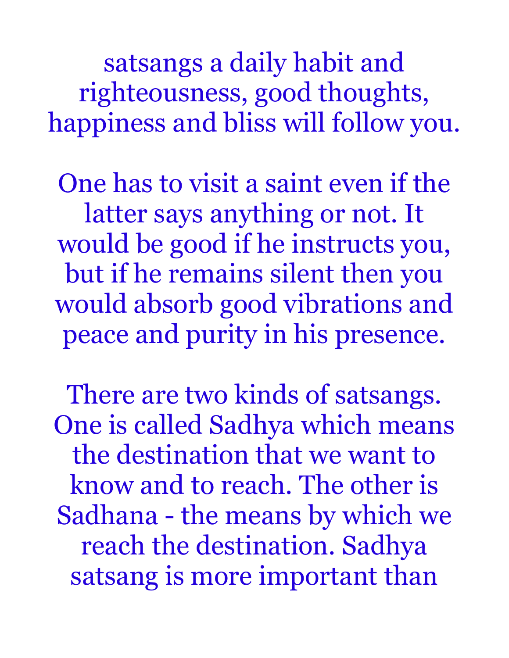satsangs a daily habit and righteousness, good thoughts, happiness and bliss will follow you.

One has to visit a saint even if the latter says anything or not. It would be good if he instructs you, but if he remains silent then you would absorb good vibrations and peace and purity in his presence.

There are two kinds of satsangs. One is called Sadhya which means the destination that we want to know and to reach. The other is Sadhana - the means by which we reach the destination. Sadhya satsang is more important than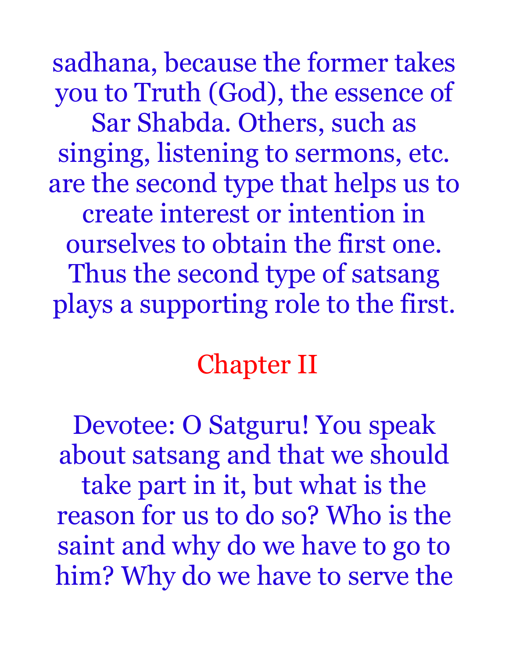sadhana, because the former takes you to Truth (God), the essence of Sar Shabda. Others, such as singing, listening to sermons, etc. are the second type that helps us to create interest or intention in ourselves to obtain the first one. Thus the second type of satsang plays a supporting role to the first.

# Chapter II

Devotee: O Satguru! You speak about satsang and that we should take part in it, but what is the reason for us to do so? Who is the saint and why do we have to go to him? Why do we have to serve the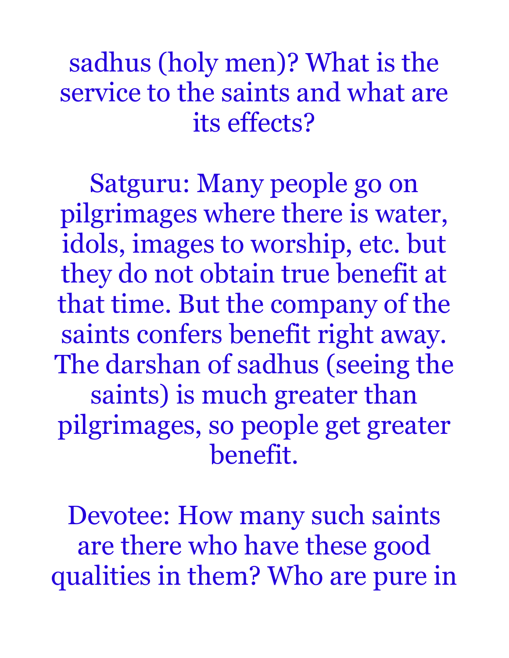sadhus (holy men)? What is the service to the saints and what are its effects?

Satguru: Many people go on pilgrimages where there is water, idols, images to worship, etc. but they do not obtain true benefit at that time. But the company of the saints confers benefit right away. The darshan of sadhus (seeing the saints) is much greater than pilgrimages, so people get greater benefit.

Devotee: How many such saints are there who have these good qualities in them? Who are pure in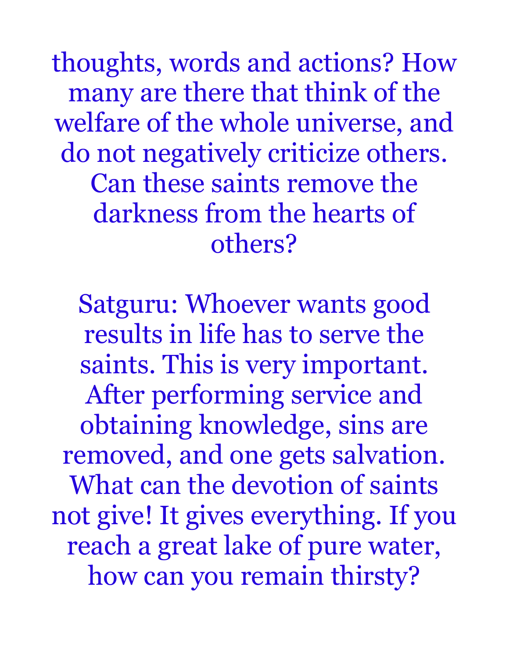thoughts, words and actions? How many are there that think of the welfare of the whole universe, and do not negatively criticize others. Can these saints remove the darkness from the hearts of others?

Satguru: Whoever wants good results in life has to serve the saints. This is very important. After performing service and obtaining knowledge, sins are removed, and one gets salvation. What can the devotion of saints not give! It gives everything. If you reach a great lake of pure water, how can you remain thirsty?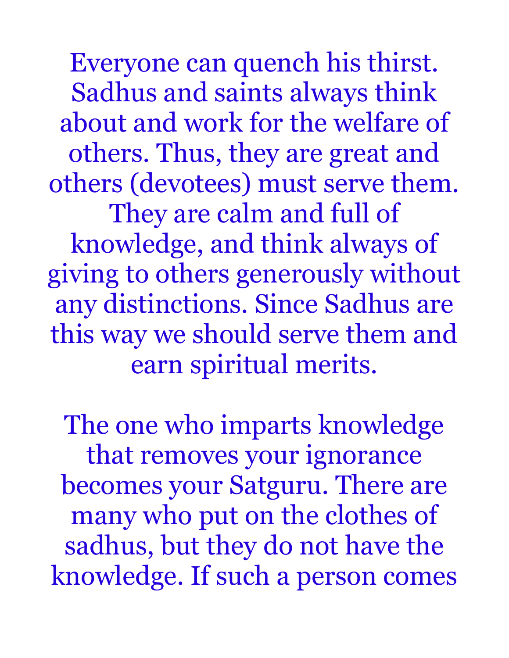Everyone can quench his thirst. Sadhus and saints always think about and work for the welfare of others. Thus, they are great and others (devotees) must serve them. They are calm and full of

knowledge, and think always of giving to others generously without any distinctions. Since Sadhus are this way we should serve them and earn spiritual merits.

The one who imparts knowledge that removes your ignorance becomes your Satguru. There are many who put on the clothes of sadhus, but they do not have the knowledge. If such a person comes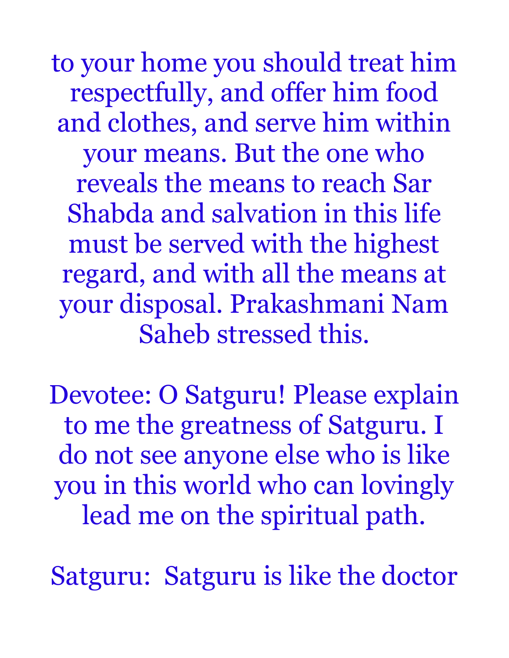to your home you should treat him respectfully, and offer him food and clothes, and serve him within your means. But the one who reveals the means to reach Sar Shabda and salvation in this life must be served with the highest regard, and with all the means at your disposal. Prakashmani Nam Saheb stressed this.

Devotee: O Satguru! Please explain to me the greatness of Satguru. I do not see anyone else who is like you in this world who can lovingly lead me on the spiritual path.

Satguru: Satguru is like the doctor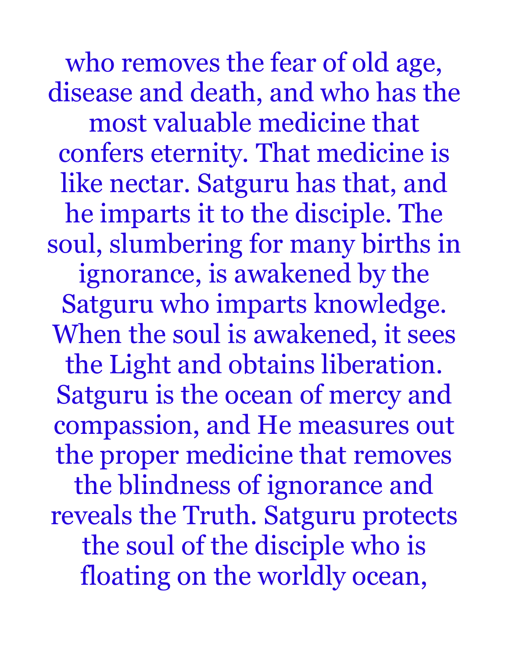who removes the fear of old age, disease and death, and who has the most valuable medicine that confers eternity. That medicine is like nectar. Satguru has that, and he imparts it to the disciple. The soul, slumbering for many births in ignorance, is awakened by the Satguru who imparts knowledge. When the soul is awakened, it sees the Light and obtains liberation. Satguru is the ocean of mercy and compassion, and He measures out the proper medicine that removes the blindness of ignorance and reveals the Truth. Satguru protects the soul of the disciple who is floating on the worldly ocean,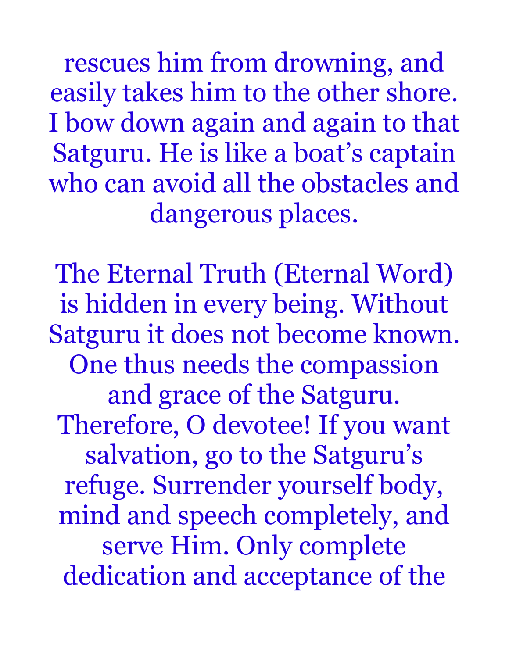rescues him from drowning, and easily takes him to the other shore. I bow down again and again to that Satguru. He is like a boat's captain who can avoid all the obstacles and dangerous places.

The Eternal Truth (Eternal Word) is hidden in every being. Without Satguru it does not become known. One thus needs the compassion and grace of the Satguru. Therefore, O devotee! If you want salvation, go to the Satguru's refuge. Surrender yourself body, mind and speech completely, and serve Him. Only complete dedication and acceptance of the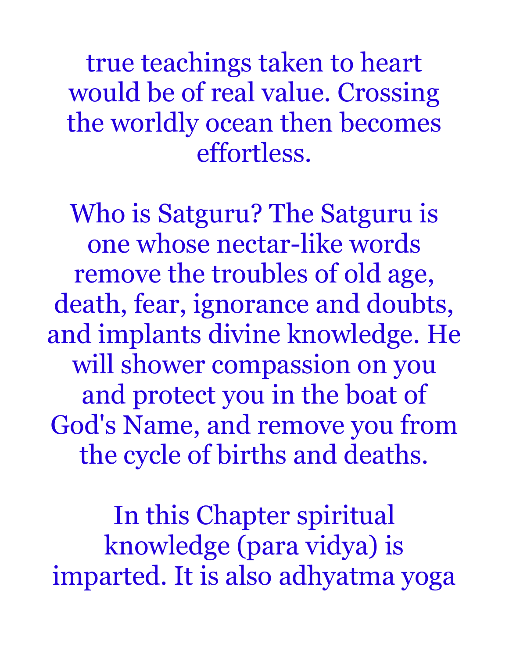true teachings taken to heart would be of real value. Crossing the worldly ocean then becomes effortless.

Who is Satguru? The Satguru is one whose nectar-like words remove the troubles of old age, death, fear, ignorance and doubts, and implants divine knowledge. He will shower compassion on you and protect you in the boat of God's Name, and remove you from the cycle of births and deaths.

In this Chapter spiritual knowledge (para vidya) is imparted. It is also adhyatma yoga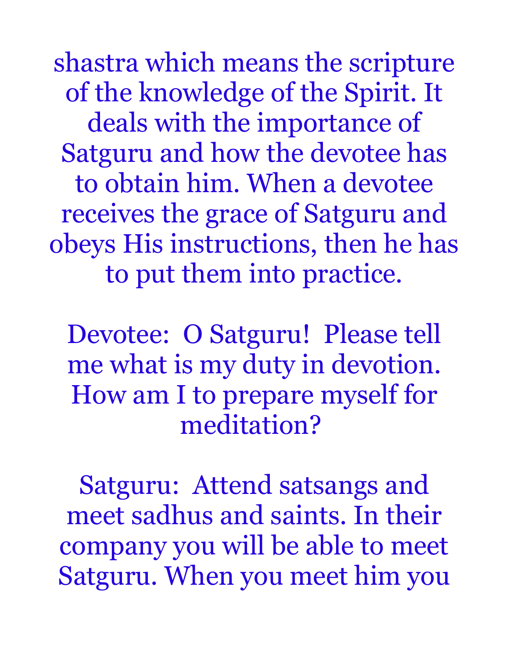shastra which means the scripture of the knowledge of the Spirit. It deals with the importance of Satguru and how the devotee has to obtain him. When a devotee receives the grace of Satguru and obeys His instructions, then he has to put them into practice.

Devotee: O Satguru! Please tell me what is my duty in devotion. How am I to prepare myself for meditation?

Satguru: Attend satsangs and meet sadhus and saints. In their company you will be able to meet Satguru. When you meet him you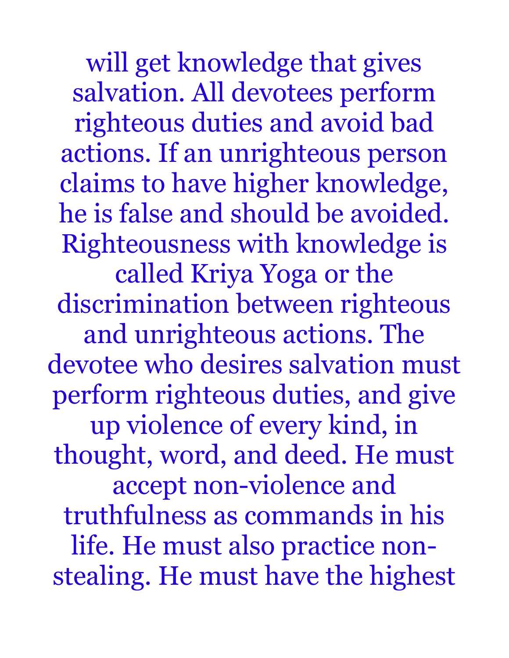will get knowledge that gives salvation. All devotees perform righteous duties and avoid bad actions. If an unrighteous person claims to have higher knowledge, he is false and should be avoided. Righteousness with knowledge is called Kriya Yoga or the discrimination between righteous and unrighteous actions. The devotee who desires salvation must perform righteous duties, and give up violence of every kind, in thought, word, and deed. He must accept non-violence and truthfulness as commands in his life. He must also practice nonstealing. He must have the highest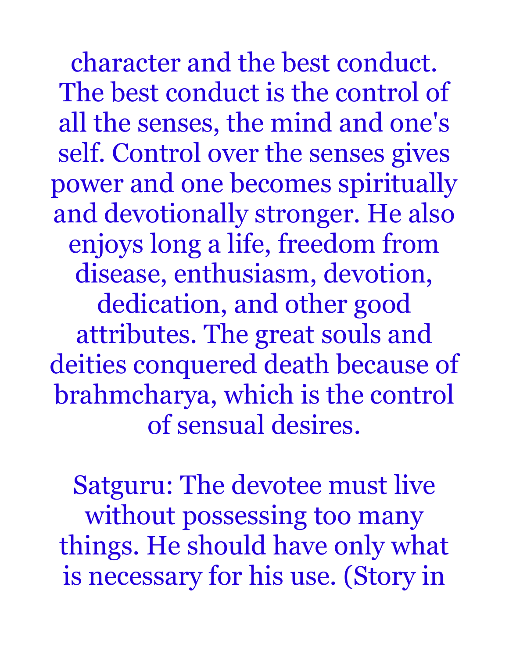character and the best conduct. The best conduct is the control of all the senses, the mind and one's self. Control over the senses gives power and one becomes spiritually and devotionally stronger. He also enjoys long a life, freedom from disease, enthusiasm, devotion, dedication, and other good attributes. The great souls and deities conquered death because of brahmcharya, which is the control of sensual desires.

Satguru: The devotee must live without possessing too many things. He should have only what is necessary for his use. (Story in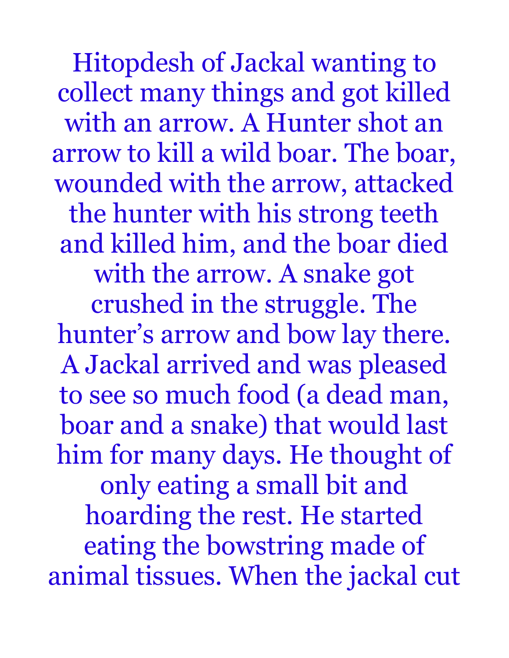Hitopdesh of Jackal wanting to collect many things and got killed with an arrow. A Hunter shot an arrow to kill a wild boar. The boar, wounded with the arrow, attacked the hunter with his strong teeth and killed him, and the boar died with the arrow. A snake got crushed in the struggle. The hunter's arrow and bow lay there. A Jackal arrived and was pleased to see so much food (a dead man, boar and a snake) that would last him for many days. He thought of only eating a small bit and hoarding the rest. He started eating the bowstring made of animal tissues. When the jackal cut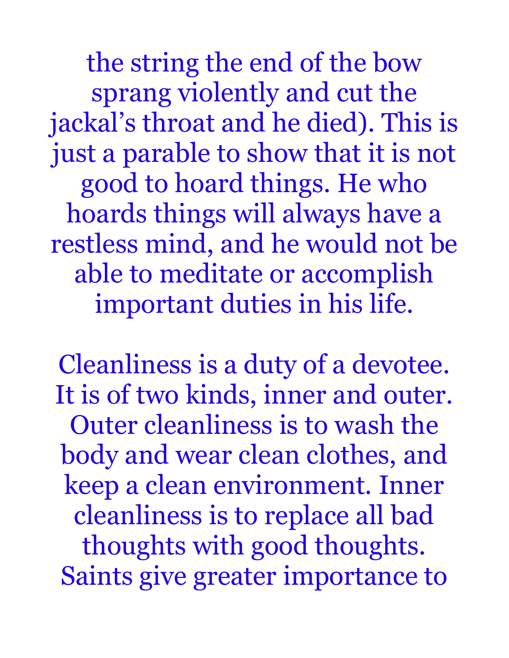the string the end of the bow sprang violently and cut the jackal's throat and he died). This is just a parable to show that it is not good to hoard things. He who hoards things will always have a restless mind, and he would not be able to meditate or accomplish important duties in his life.

Cleanliness is a duty of a devotee. It is of two kinds, inner and outer. Outer cleanliness is to wash the body and wear clean clothes, and keep a clean environment. Inner cleanliness is to replace all bad thoughts with good thoughts. Saints give greater importance to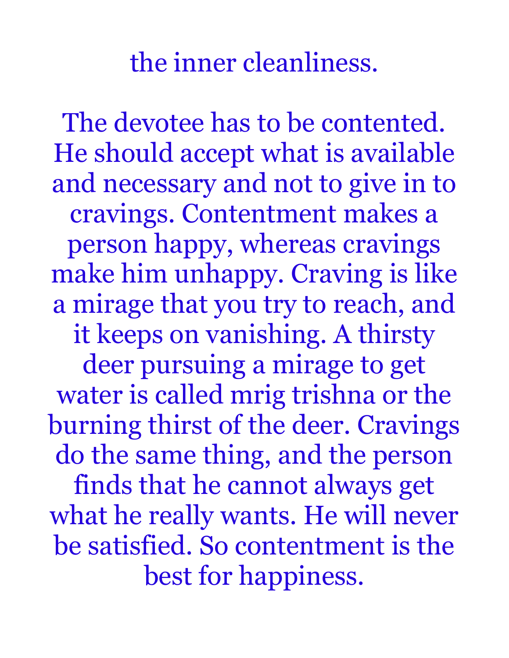the inner cleanliness.

The devotee has to be contented. He should accept what is available and necessary and not to give in to cravings. Contentment makes a person happy, whereas cravings make him unhappy. Craving is like a mirage that you try to reach, and it keeps on vanishing. A thirsty deer pursuing a mirage to get water is called mrig trishna or the burning thirst of the deer. Cravings do the same thing, and the person finds that he cannot always get what he really wants. He will never be satisfied. So contentment is the best for happiness.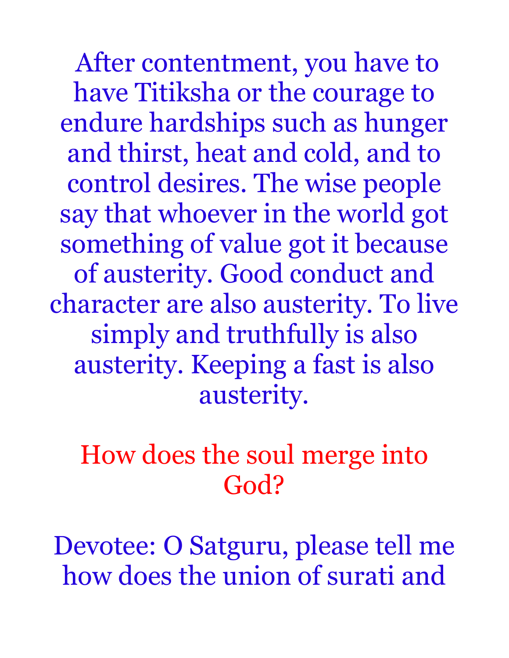After contentment, you have to have Titiksha or the courage to endure hardships such as hunger and thirst, heat and cold, and to control desires. The wise people say that whoever in the world got something of value got it because of austerity. Good conduct and character are also austerity. To live simply and truthfully is also austerity. Keeping a fast is also austerity.

## How does the soul merge into God?

Devotee: O Satguru, please tell me how does the union of surati and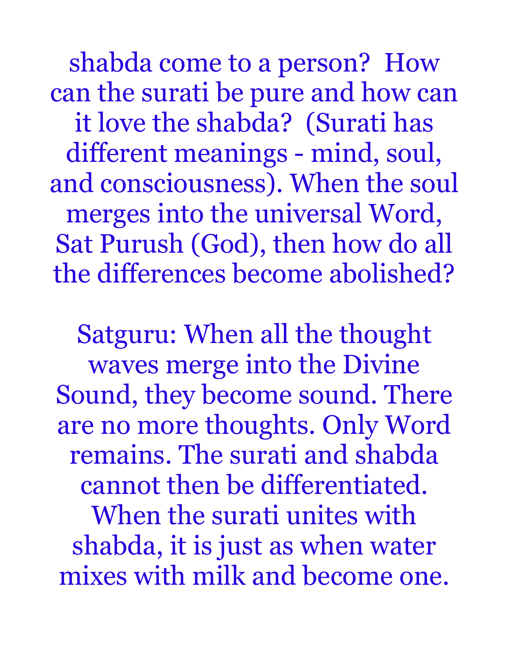shabda come to a person? How can the surati be pure and how can it love the shabda? (Surati has different meanings - mind, soul, and consciousness). When the soul merges into the universal Word, Sat Purush (God), then how do all the differences become abolished?

Satguru: When all the thought waves merge into the Divine Sound, they become sound. There are no more thoughts. Only Word remains. The surati and shabda cannot then be differentiated. When the surati unites with shabda, it is just as when water mixes with milk and become one.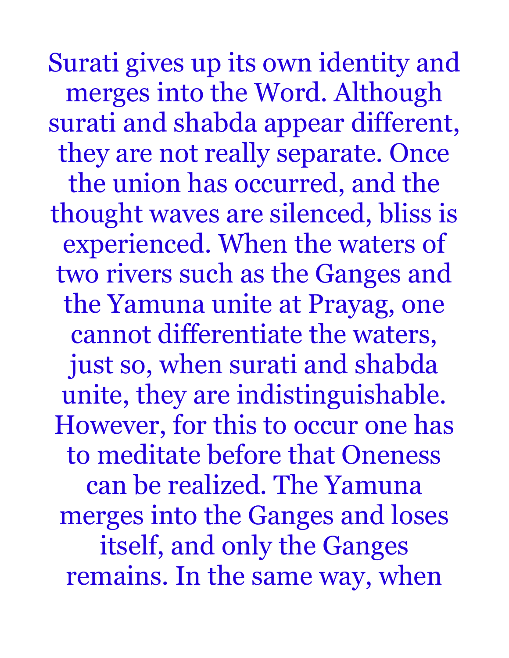Surati gives up its own identity and merges into the Word. Although surati and shabda appear different, they are not really separate. Once the union has occurred, and the thought waves are silenced, bliss is experienced. When the waters of two rivers such as the Ganges and the Yamuna unite at Prayag, one cannot differentiate the waters, just so, when surati and shabda unite, they are indistinguishable. However, for this to occur one has to meditate before that Oneness can be realized. The Yamuna merges into the Ganges and loses itself, and only the Ganges remains. In the same way, when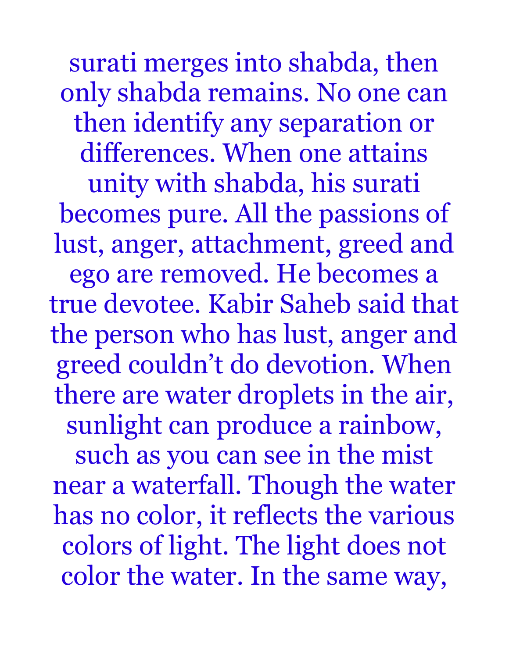surati merges into shabda, then only shabda remains. No one can then identify any separation or differences. When one attains

unity with shabda, his surati becomes pure. All the passions of lust, anger, attachment, greed and

ego are removed. He becomes a true devotee. Kabir Saheb said that the person who has lust, anger and greed couldn't do devotion. When there are water droplets in the air, sunlight can produce a rainbow,

such as you can see in the mist near a waterfall. Though the water has no color, it reflects the various colors of light. The light does not color the water. In the same way,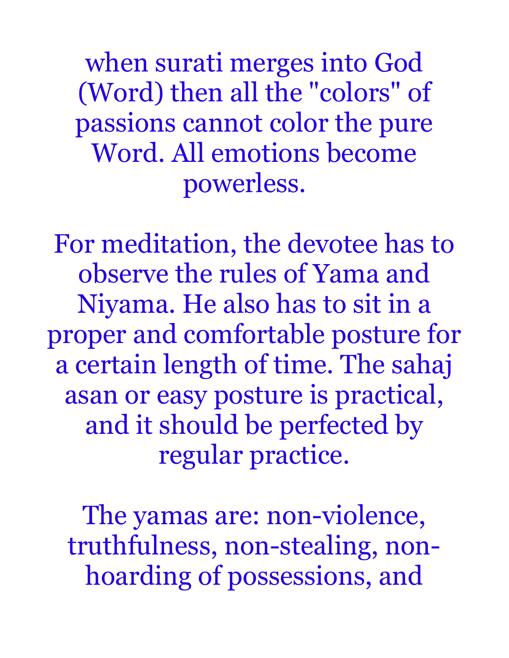when surati merges into God (Word) then all the "colors" of passions cannot color the pure Word. All emotions become powerless.

For meditation, the devotee has to observe the rules of Yama and Niyama. He also has to sit in a proper and comfortable posture for a certain length of time. The sahaj asan or easy posture is practical, and it should be perfected by regular practice.

The yamas are: non-violence, truthfulness, non-stealing, nonhoarding of possessions, and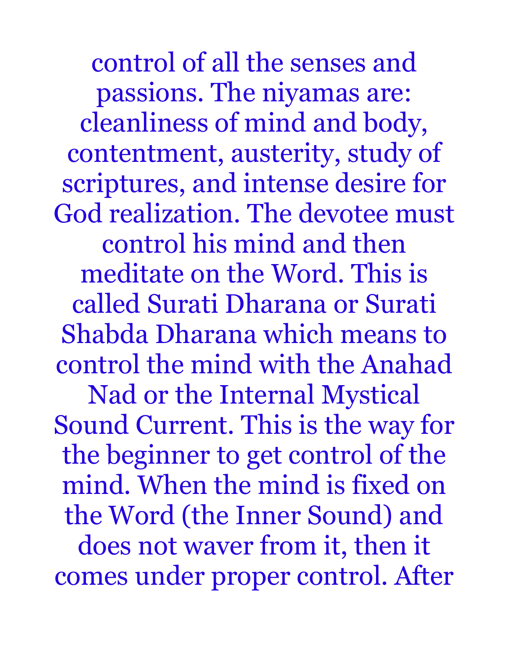control of all the senses and passions. The niyamas are: cleanliness of mind and body, contentment, austerity, study of scriptures, and intense desire for God realization. The devotee must control his mind and then meditate on the Word. This is called Surati Dharana or Surati Shabda Dharana which means to control the mind with the Anahad Nad or the Internal Mystical Sound Current. This is the way for the beginner to get control of the mind. When the mind is fixed on the Word (the Inner Sound) and does not waver from it, then it comes under proper control. After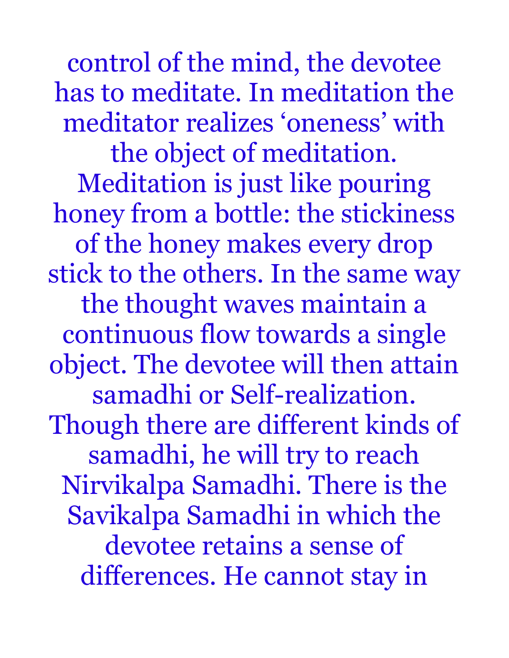control of the mind, the devotee has to meditate. In meditation the meditator realizes 'oneness' with the object of meditation. Meditation is just like pouring honey from a bottle: the stickiness of the honey makes every drop stick to the others. In the same way the thought waves maintain a continuous flow towards a single object. The devotee will then attain samadhi or Self-realization. Though there are different kinds of samadhi, he will try to reach Nirvikalpa Samadhi. There is the Savikalpa Samadhi in which the devotee retains a sense of differences. He cannot stay in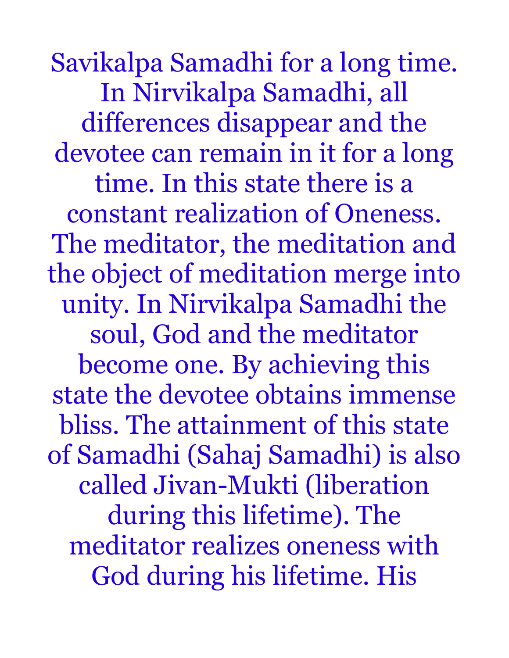Savikalpa Samadhi for a long time. In Nirvikalpa Samadhi, all differences disappear and the devotee can remain in it for a long time. In this state there is a constant realization of Oneness. The meditator, the meditation and the object of meditation merge into unity. In Nirvikalpa Samadhi the soul, God and the meditator become one. By achieving this state the devotee obtains immense bliss. The attainment of this state of Samadhi (Sahaj Samadhi) is also called Jivan-Mukti (liberation during this lifetime). The meditator realizes oneness with God during his lifetime. His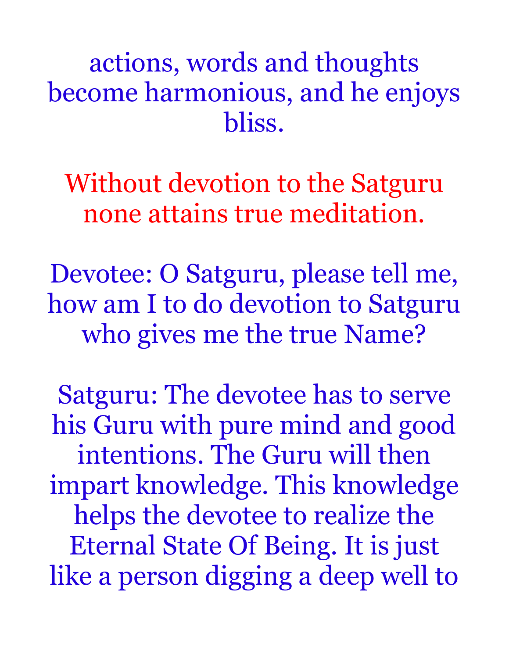actions, words and thoughts become harmonious, and he enjoys bliss.

Without devotion to the Satguru none attains true meditation.

Devotee: O Satguru, please tell me, how am I to do devotion to Satguru who gives me the true Name?

Satguru: The devotee has to serve his Guru with pure mind and good intentions. The Guru will then impart knowledge. This knowledge helps the devotee to realize the Eternal State Of Being. It is just like a person digging a deep well to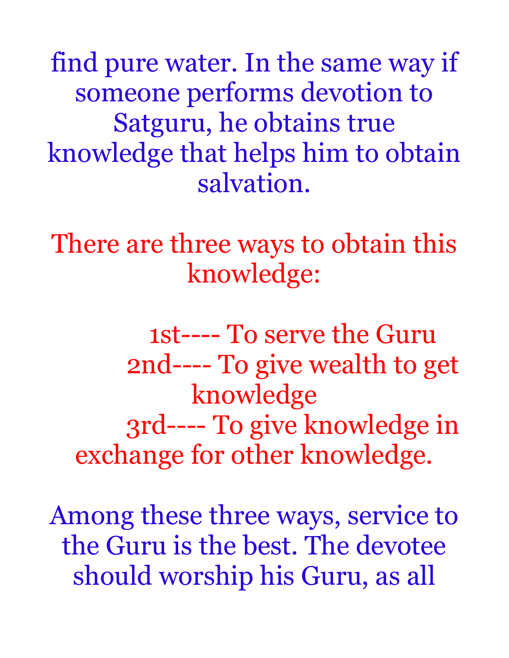find pure water. In the same way if someone performs devotion to Satguru, he obtains true knowledge that helps him to obtain salvation.

There are three ways to obtain this knowledge:

 1st---- To serve the Guru 2nd---- To give wealth to get knowledge 3rd---- To give knowledge in exchange for other knowledge.

Among these three ways, service to the Guru is the best. The devotee should worship his Guru, as all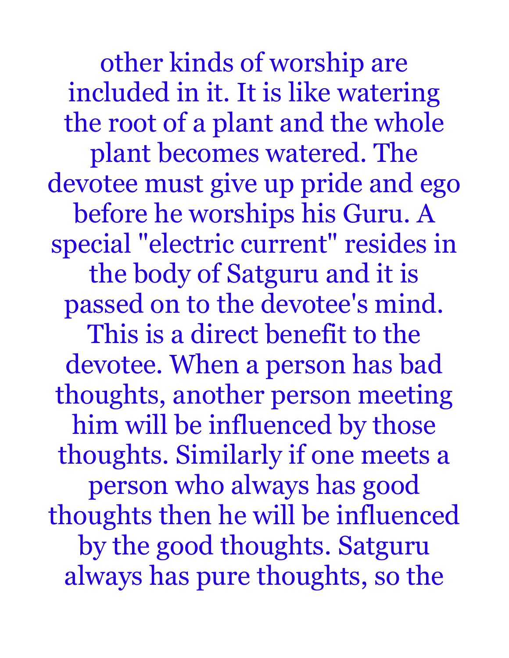other kinds of worship are included in it. It is like watering the root of a plant and the whole plant becomes watered. The devotee must give up pride and ego before he worships his Guru. A special "electric current" resides in the body of Satguru and it is passed on to the devotee's mind. This is a direct benefit to the devotee. When a person has bad thoughts, another person meeting him will be influenced by those thoughts. Similarly if one meets a person who always has good thoughts then he will be influenced by the good thoughts. Satguru always has pure thoughts, so the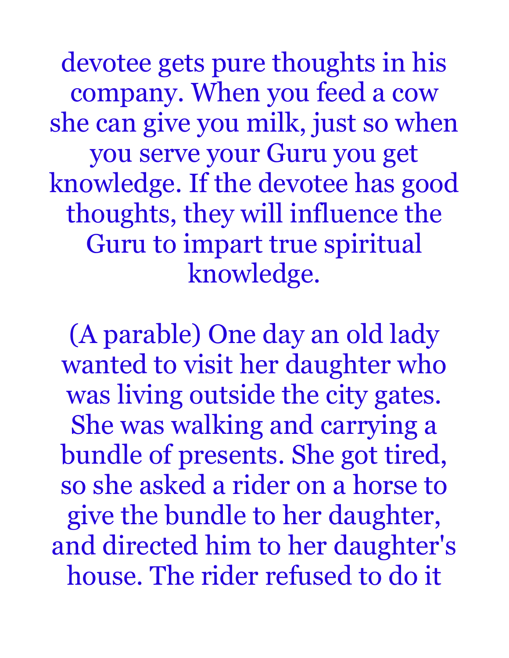devotee gets pure thoughts in his company. When you feed a cow she can give you milk, just so when you serve your Guru you get knowledge. If the devotee has good thoughts, they will influence the Guru to impart true spiritual knowledge.

(A parable) One day an old lady wanted to visit her daughter who was living outside the city gates. She was walking and carrying a bundle of presents. She got tired, so she asked a rider on a horse to give the bundle to her daughter, and directed him to her daughter's house. The rider refused to do it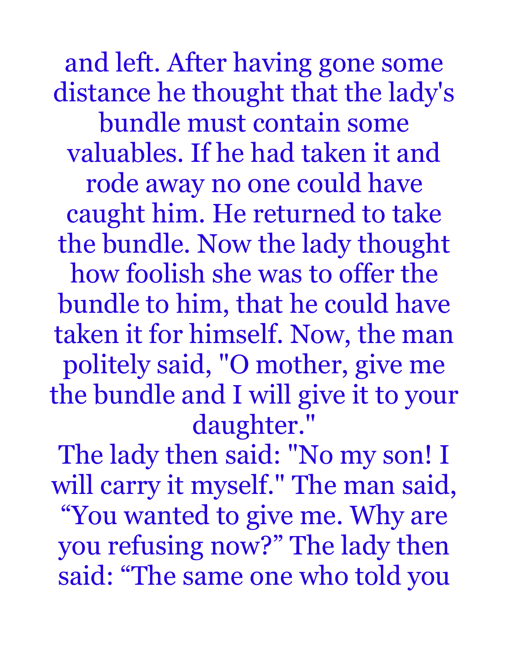and left. After having gone some distance he thought that the lady's bundle must contain some valuables. If he had taken it and rode away no one could have caught him. He returned to take the bundle. Now the lady thought how foolish she was to offer the bundle to him, that he could have taken it for himself. Now, the man politely said, "O mother, give me the bundle and I will give it to your daughter."

The lady then said: "No my son! I will carry it myself." The man said, "You wanted to give me. Why are you refusing now?" The lady then said: "The same one who told you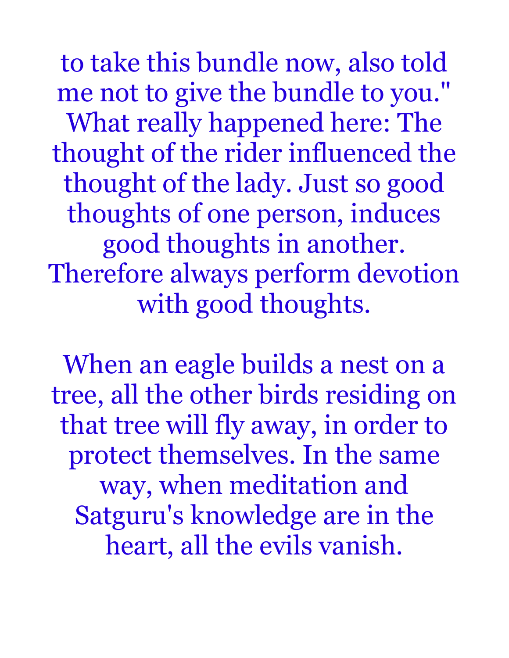to take this bundle now, also told me not to give the bundle to you." What really happened here: The thought of the rider influenced the thought of the lady. Just so good thoughts of one person, induces good thoughts in another. Therefore always perform devotion with good thoughts.

When an eagle builds a nest on a tree, all the other birds residing on that tree will fly away, in order to protect themselves. In the same way, when meditation and Satguru's knowledge are in the heart, all the evils vanish.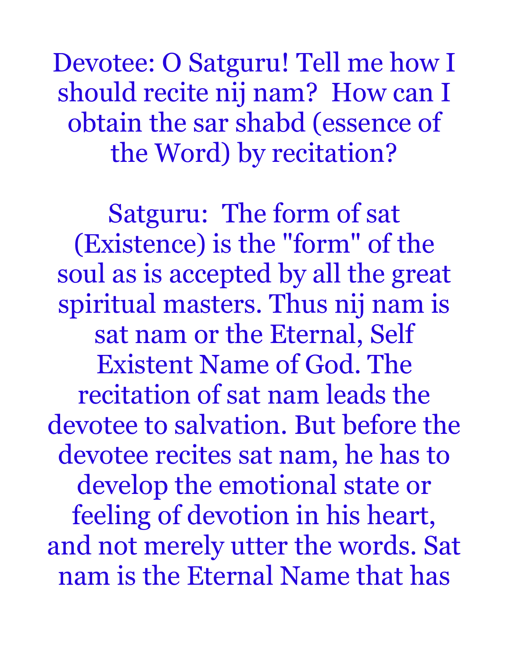Devotee: O Satguru! Tell me how I should recite nij nam? How can I obtain the sar shabd (essence of the Word) by recitation?

Satguru: The form of sat (Existence) is the "form" of the soul as is accepted by all the great spiritual masters. Thus nij nam is sat nam or the Eternal, Self Existent Name of God. The recitation of sat nam leads the devotee to salvation. But before the devotee recites sat nam, he has to develop the emotional state or feeling of devotion in his heart, and not merely utter the words. Sat nam is the Eternal Name that has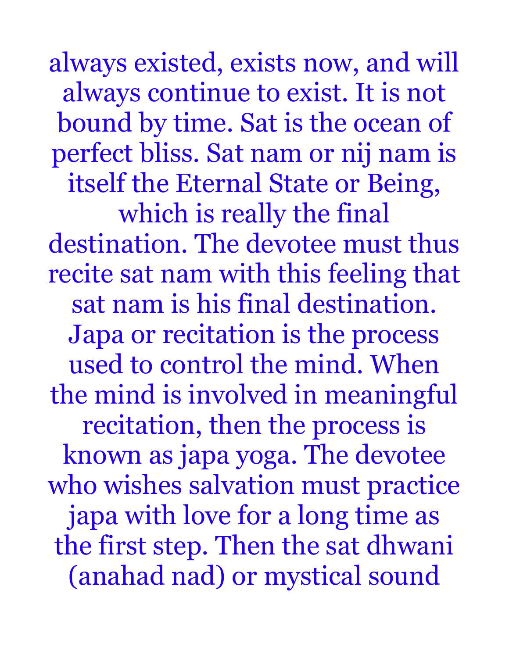always existed, exists now, and will always continue to exist. It is not bound by time. Sat is the ocean of perfect bliss. Sat nam or nij nam is itself the Eternal State or Being, which is really the final destination. The devotee must thus recite sat nam with this feeling that sat nam is his final destination. Japa or recitation is the process used to control the mind. When the mind is involved in meaningful recitation, then the process is known as japa yoga. The devotee who wishes salvation must practice japa with love for a long time as the first step. Then the sat dhwani (anahad nad) or mystical sound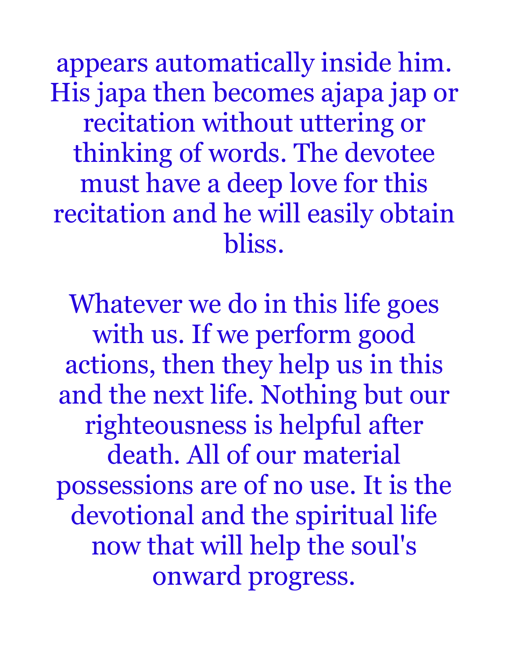appears automatically inside him. His japa then becomes ajapa jap or recitation without uttering or thinking of words. The devotee must have a deep love for this recitation and he will easily obtain bliss.

Whatever we do in this life goes with us. If we perform good actions, then they help us in this and the next life. Nothing but our righteousness is helpful after death. All of our material possessions are of no use. It is the devotional and the spiritual life now that will help the soul's onward progress.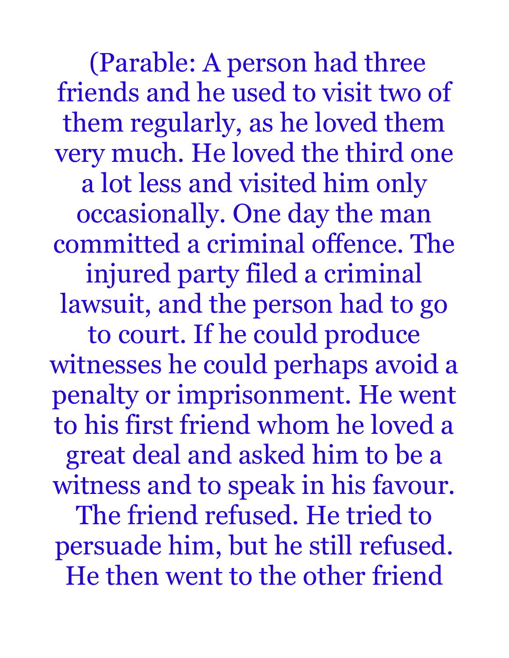(Parable: A person had three friends and he used to visit two of them regularly, as he loved them very much. He loved the third one a lot less and visited him only occasionally. One day the man committed a criminal offence. The injured party filed a criminal lawsuit, and the person had to go to court. If he could produce witnesses he could perhaps avoid a penalty or imprisonment. He went to his first friend whom he loved a great deal and asked him to be a witness and to speak in his favour. The friend refused. He tried to persuade him, but he still refused. He then went to the other friend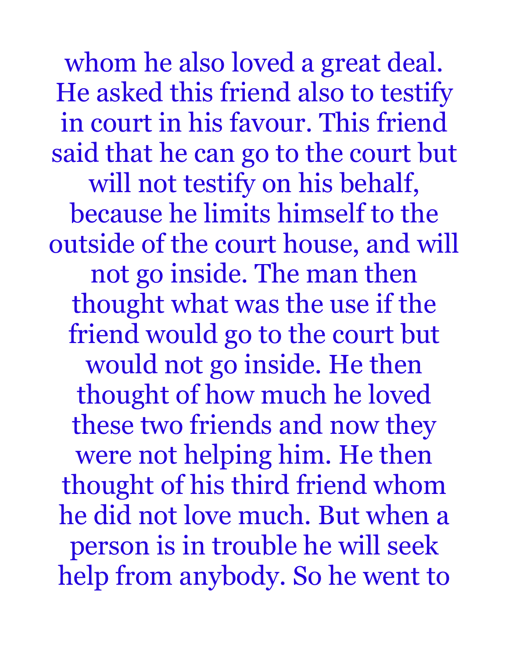whom he also loved a great deal. He asked this friend also to testify in court in his favour. This friend said that he can go to the court but will not testify on his behalf, because he limits himself to the outside of the court house, and will not go inside. The man then thought what was the use if the friend would go to the court but would not go inside. He then thought of how much he loved these two friends and now they were not helping him. He then thought of his third friend whom he did not love much. But when a person is in trouble he will seek help from anybody. So he went to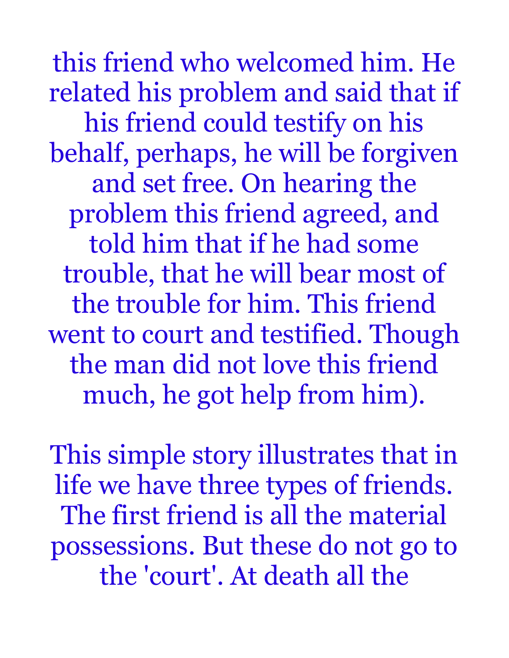this friend who welcomed him. He related his problem and said that if his friend could testify on his behalf, perhaps, he will be forgiven and set free. On hearing the problem this friend agreed, and told him that if he had some trouble, that he will bear most of the trouble for him. This friend went to court and testified. Though the man did not love this friend much, he got help from him).

This simple story illustrates that in life we have three types of friends. The first friend is all the material possessions. But these do not go to the 'court'. At death all the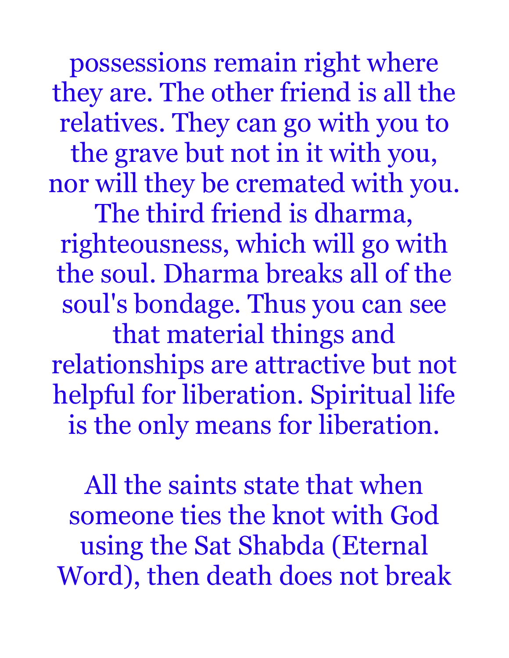possessions remain right where they are. The other friend is all the relatives. They can go with you to the grave but not in it with you, nor will they be cremated with you.

The third friend is dharma, righteousness, which will go with the soul. Dharma breaks all of the soul's bondage. Thus you can see that material things and relationships are attractive but not helpful for liberation. Spiritual life is the only means for liberation.

All the saints state that when someone ties the knot with God using the Sat Shabda (Eternal Word), then death does not break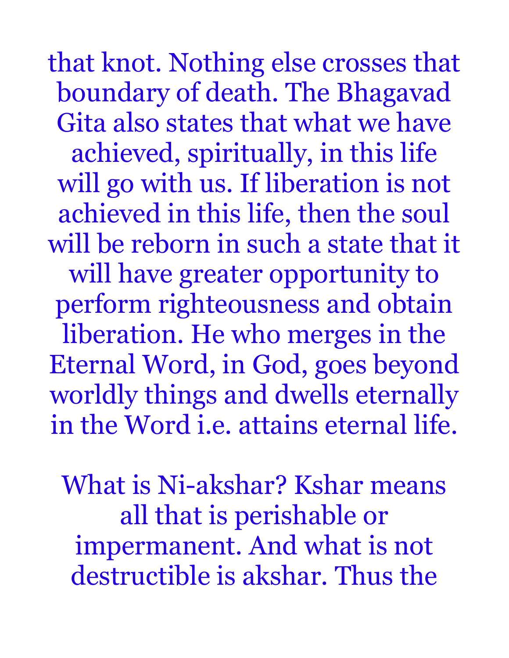that knot. Nothing else crosses that boundary of death. The Bhagavad Gita also states that what we have achieved, spiritually, in this life will go with us. If liberation is not achieved in this life, then the soul will be reborn in such a state that it will have greater opportunity to perform righteousness and obtain liberation. He who merges in the Eternal Word, in God, goes beyond worldly things and dwells eternally in the Word i.e. attains eternal life.

What is Ni-akshar? Kshar means all that is perishable or impermanent. And what is not destructible is akshar. Thus the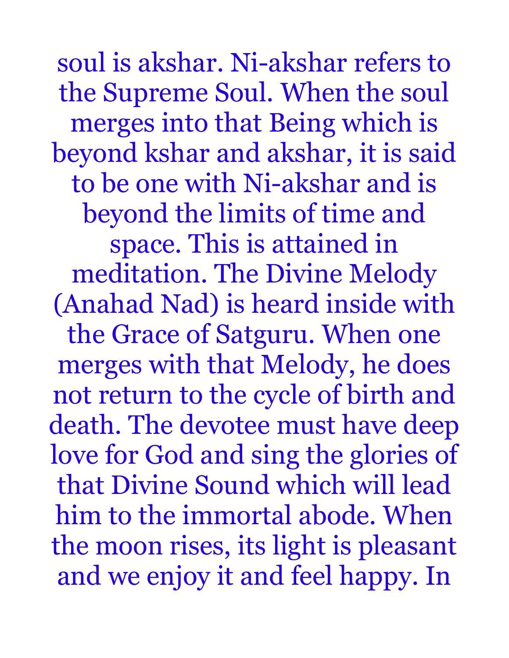soul is akshar. Ni-akshar refers to the Supreme Soul. When the soul merges into that Being which is beyond kshar and akshar, it is said to be one with Ni-akshar and is beyond the limits of time and space. This is attained in meditation. The Divine Melody (Anahad Nad) is heard inside with the Grace of Satguru. When one merges with that Melody, he does not return to the cycle of birth and death. The devotee must have deep love for God and sing the glories of that Divine Sound which will lead him to the immortal abode. When the moon rises, its light is pleasant and we enjoy it and feel happy. In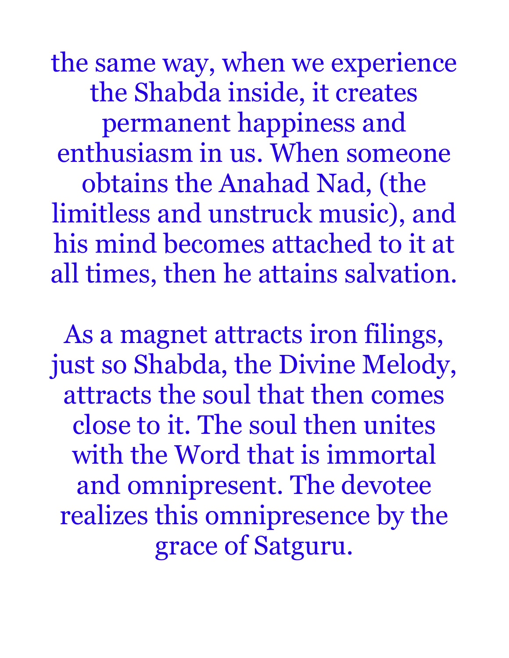the same way, when we experience the Shabda inside, it creates permanent happiness and enthusiasm in us. When someone obtains the Anahad Nad, (the limitless and unstruck music), and his mind becomes attached to it at all times, then he attains salvation.

As a magnet attracts iron filings, just so Shabda, the Divine Melody, attracts the soul that then comes close to it. The soul then unites with the Word that is immortal and omnipresent. The devotee realizes this omnipresence by the grace of Satguru.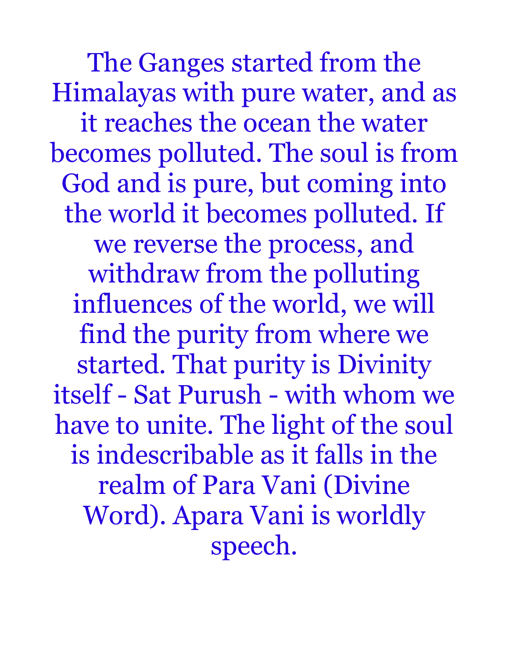The Ganges started from the Himalayas with pure water, and as it reaches the ocean the water becomes polluted. The soul is from God and is pure, but coming into the world it becomes polluted. If we reverse the process, and withdraw from the polluting influences of the world, we will find the purity from where we started. That purity is Divinity itself - Sat Purush - with whom we have to unite. The light of the soul is indescribable as it falls in the realm of Para Vani (Divine Word). Apara Vani is worldly speech.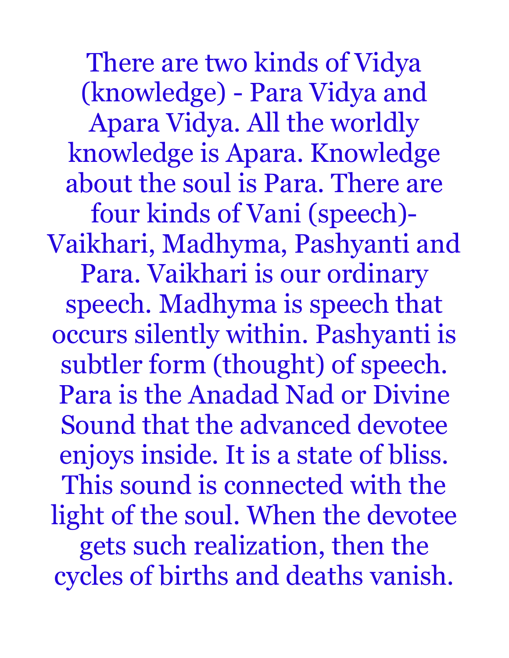There are two kinds of Vidya (knowledge) - Para Vidya and Apara Vidya. All the worldly knowledge is Apara. Knowledge about the soul is Para. There are four kinds of Vani (speech)- Vaikhari, Madhyma, Pashyanti and Para. Vaikhari is our ordinary speech. Madhyma is speech that occurs silently within. Pashyanti is subtler form (thought) of speech. Para is the Anadad Nad or Divine Sound that the advanced devotee enjoys inside. It is a state of bliss. This sound is connected with the light of the soul. When the devotee gets such realization, then the cycles of births and deaths vanish.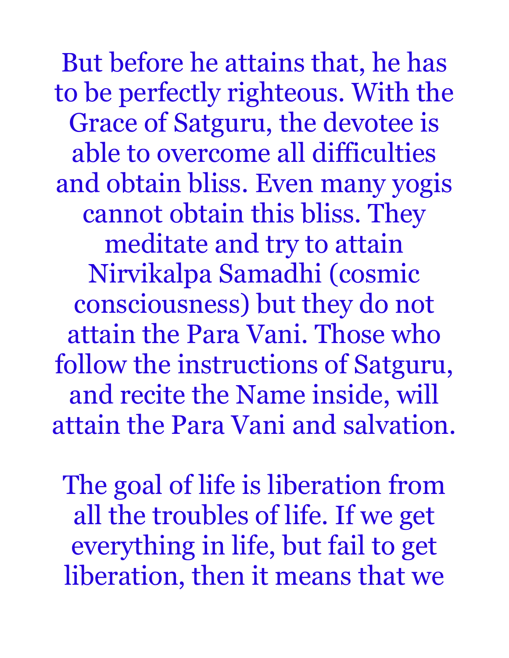But before he attains that, he has to be perfectly righteous. With the Grace of Satguru, the devotee is able to overcome all difficulties and obtain bliss. Even many yogis cannot obtain this bliss. They meditate and try to attain Nirvikalpa Samadhi (cosmic consciousness) but they do not attain the Para Vani. Those who follow the instructions of Satguru, and recite the Name inside, will attain the Para Vani and salvation.

The goal of life is liberation from all the troubles of life. If we get everything in life, but fail to get liberation, then it means that we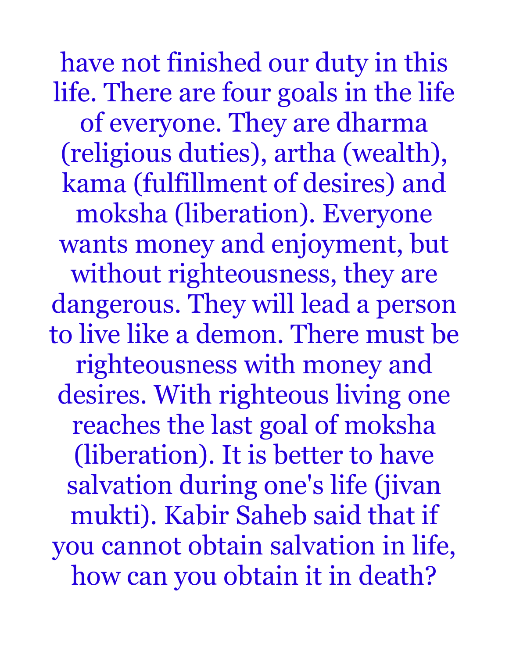have not finished our duty in this life. There are four goals in the life of everyone. They are dharma (religious duties), artha (wealth), kama (fulfillment of desires) and moksha (liberation). Everyone wants money and enjoyment, but without righteousness, they are dangerous. They will lead a person to live like a demon. There must be righteousness with money and desires. With righteous living one reaches the last goal of moksha (liberation). It is better to have salvation during one's life (jivan mukti). Kabir Saheb said that if you cannot obtain salvation in life, how can you obtain it in death?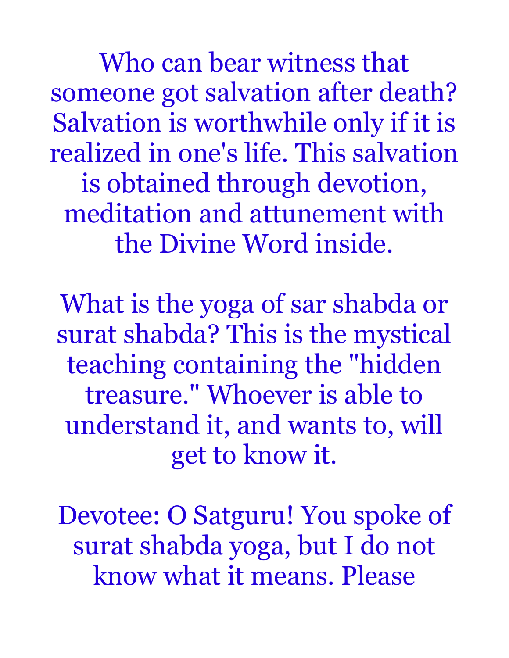Who can bear witness that someone got salvation after death? Salvation is worthwhile only if it is realized in one's life. This salvation is obtained through devotion, meditation and attunement with the Divine Word inside.

What is the yoga of sar shabda or surat shabda? This is the mystical teaching containing the "hidden treasure." Whoever is able to understand it, and wants to, will get to know it.

Devotee: O Satguru! You spoke of surat shabda yoga, but I do not know what it means. Please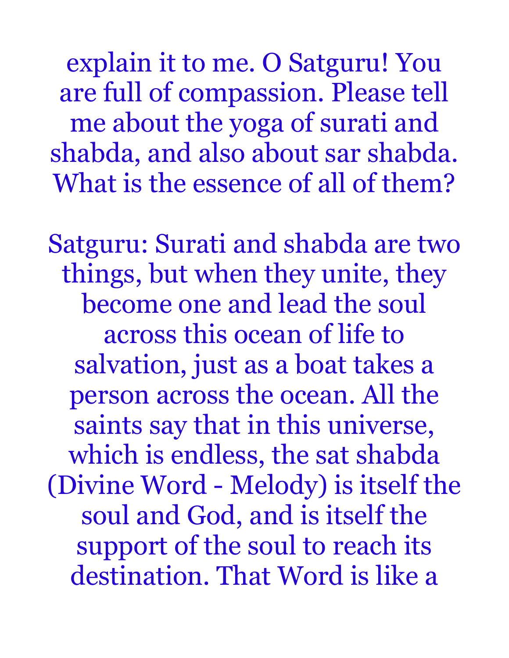explain it to me. O Satguru! You are full of compassion. Please tell me about the yoga of surati and shabda, and also about sar shabda. What is the essence of all of them?

Satguru: Surati and shabda are two things, but when they unite, they become one and lead the soul across this ocean of life to salvation, just as a boat takes a person across the ocean. All the saints say that in this universe, which is endless, the sat shabda (Divine Word - Melody) is itself the soul and God, and is itself the support of the soul to reach its destination. That Word is like a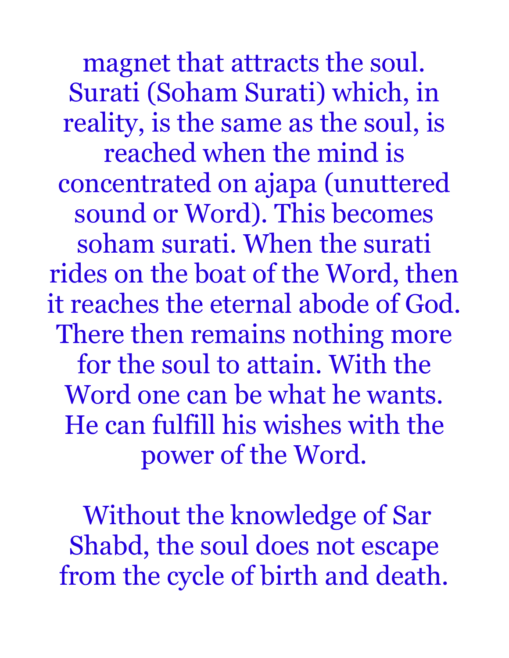magnet that attracts the soul. Surati (Soham Surati) which, in reality, is the same as the soul, is reached when the mind is concentrated on ajapa (unuttered sound or Word). This becomes soham surati. When the surati rides on the boat of the Word, then it reaches the eternal abode of God. There then remains nothing more for the soul to attain. With the Word one can be what he wants. He can fulfill his wishes with the power of the Word.

 Without the knowledge of Sar Shabd, the soul does not escape from the cycle of birth and death.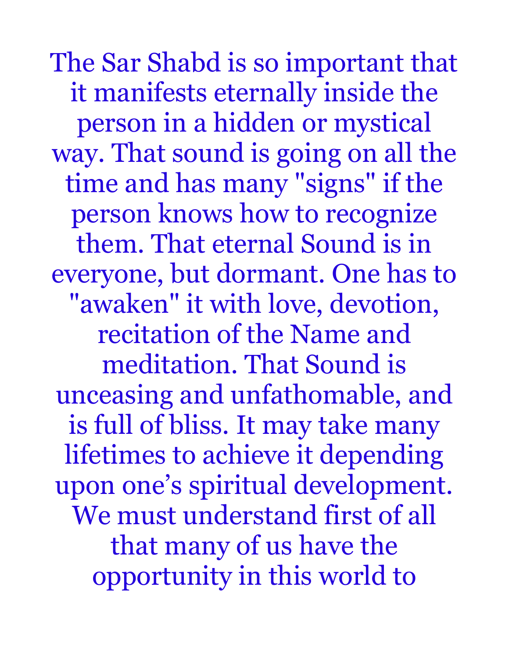The Sar Shabd is so important that it manifests eternally inside the person in a hidden or mystical way. That sound is going on all the time and has many "signs" if the person knows how to recognize them. That eternal Sound is in everyone, but dormant. One has to "awaken" it with love, devotion, recitation of the Name and meditation. That Sound is unceasing and unfathomable, and is full of bliss. It may take many lifetimes to achieve it depending upon one's spiritual development. We must understand first of all that many of us have the opportunity in this world to